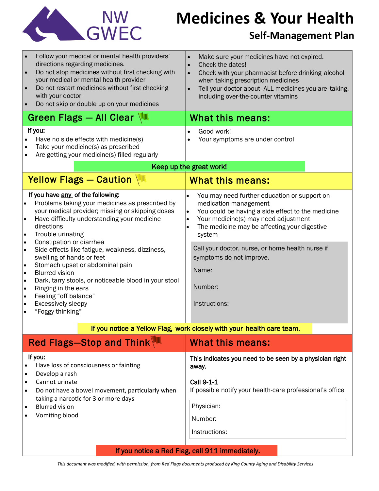

# **Medicines & Your Health**

### **Self-Management Plan**

| Follow your medical or mental health providers'<br>directions regarding medicines.<br>Do not stop medicines without first checking with<br>$\bullet$<br>your medical or mental health provider<br>Do not restart medicines without first checking<br>$\bullet$<br>with your doctor<br>Do not skip or double up on your medicines<br>$\bullet$                                                                                                                                                                                                                                                                                       | Make sure your medicines have not expired.<br>Check the dates!<br>$\bullet$<br>Check with your pharmacist before drinking alcohol<br>$\bullet$<br>when taking prescription medicines<br>Tell your doctor about ALL medicines you are taking,<br>$\bullet$<br>including over-the-counter vitamins |
|-------------------------------------------------------------------------------------------------------------------------------------------------------------------------------------------------------------------------------------------------------------------------------------------------------------------------------------------------------------------------------------------------------------------------------------------------------------------------------------------------------------------------------------------------------------------------------------------------------------------------------------|--------------------------------------------------------------------------------------------------------------------------------------------------------------------------------------------------------------------------------------------------------------------------------------------------|
| Green Flags - All Clear $\sqrt{1}$                                                                                                                                                                                                                                                                                                                                                                                                                                                                                                                                                                                                  | <b>What this means:</b>                                                                                                                                                                                                                                                                          |
| If you:<br>Have no side effects with medicine(s)<br>$\bullet$<br>Take your medicine(s) as prescribed<br>$\bullet$<br>Are getting your medicine(s) filled regularly<br>$\bullet$                                                                                                                                                                                                                                                                                                                                                                                                                                                     | Good work!<br>Your symptoms are under control<br>$\bullet$                                                                                                                                                                                                                                       |
| Keep up the great work!                                                                                                                                                                                                                                                                                                                                                                                                                                                                                                                                                                                                             |                                                                                                                                                                                                                                                                                                  |
| Yellow Flags - Caution                                                                                                                                                                                                                                                                                                                                                                                                                                                                                                                                                                                                              | <b>What this means:</b>                                                                                                                                                                                                                                                                          |
| If you have any of the following:<br>Problems taking your medicines as prescribed by<br>۱.<br>your medical provider; missing or skipping doses<br>Have difficulty understanding your medicine<br>I۰<br>directions<br>Trouble urinating<br>I۰<br>Constipation or diarrhea<br>I۰<br>Side effects like fatigue, weakness, dizziness,<br>I۰<br>swelling of hands or feet<br>Stomach upset or abdominal pain<br>I۰<br><b>Blurred vision</b><br>۰<br>Dark, tarry stools, or noticeable blood in your stool<br>۰<br>Ringing in the ears<br>l e<br>Feeling "off balance"<br> •<br>Excessively sleepy<br>I۰<br>"Foggy thinking"<br>$\bullet$ | You may need further education or support on<br>$\bullet$<br>medication management<br>You could be having a side effect to the medicine<br>$\bullet$<br>Your medicine(s) may need adjustment<br>$\bullet$<br>The medicine may be affecting your digestive<br>$\bullet$<br>system                 |
|                                                                                                                                                                                                                                                                                                                                                                                                                                                                                                                                                                                                                                     | Call your doctor, nurse, or home health nurse if<br>symptoms do not improve.<br>Name:<br>Number:<br>Instructions:                                                                                                                                                                                |
| If you notice a Yellow Flag, work closely with your health care team.                                                                                                                                                                                                                                                                                                                                                                                                                                                                                                                                                               |                                                                                                                                                                                                                                                                                                  |
| <b>Red Flags-Stop and Think</b>                                                                                                                                                                                                                                                                                                                                                                                                                                                                                                                                                                                                     | What this means:                                                                                                                                                                                                                                                                                 |

| $\overline{C}$ riggs $\overline{C}$ or $\overline{C}$ and $\overline{C}$ in $\overline{C}$                                                                                                                                                                                           | <u>WIIAL LIIIS IIIUAIIS.</u>                                                                                                                                                          |
|--------------------------------------------------------------------------------------------------------------------------------------------------------------------------------------------------------------------------------------------------------------------------------------|---------------------------------------------------------------------------------------------------------------------------------------------------------------------------------------|
| If you:<br>Have loss of consciousness or fainting<br>$\bullet$<br>Develop a rash<br>Cannot urinate<br>$\bullet$<br>Do not have a bowel movement, particularly when<br>$\bullet$<br>taking a narcotic for 3 or more days<br><b>Blurred vision</b><br>$\bullet$<br>Vomiting blood<br>٠ | This indicates you need to be seen by a physician right<br>away.<br>Call 9-1-1<br>If possible notify your health-care professional's office<br>Physician:<br>Number:<br>Instructions: |
| If you notice a Red Flag, call 911 immediately.                                                                                                                                                                                                                                      |                                                                                                                                                                                       |

*This document was modified, with permission, from Red Flags documents produced by King County Aging and Disability Service[s](http://www.lungusa.org/)*